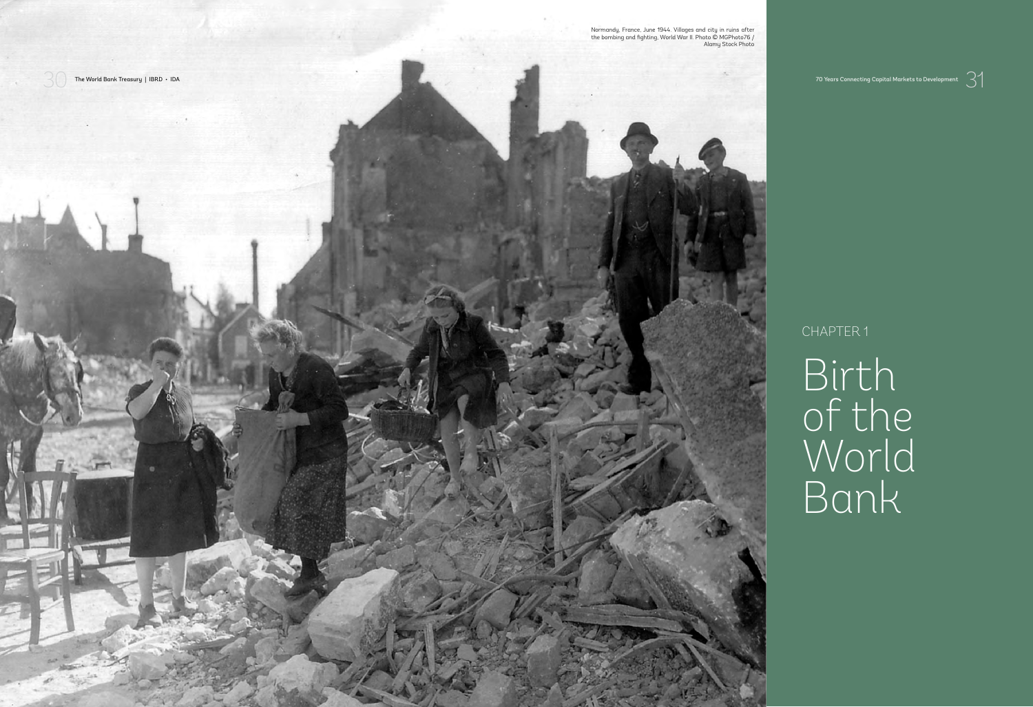Alamy Stock Photo

30 The World Bank Treasury | IBRD • IDA 70 Years Connecting Capital Markets to Development<br>31



CHAPTER 1

Birth of the World Bank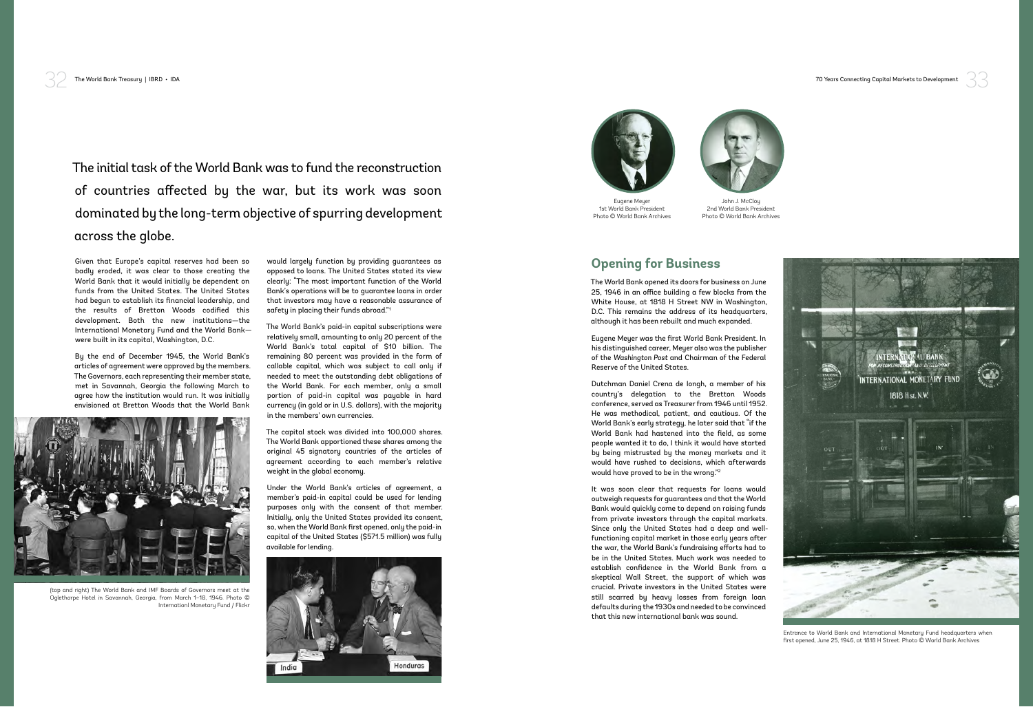

## **Opening for Business**

The World Bank opened its doors for business on June 25, 1946 in an office building a few blocks from the White House, at 1818 H Street NW in Washington, D.C. This remains the address of its headquarters, although it has been rebuilt and much expanded.

Eugene Meyer was the first World Bank President. In his distinguished career, Meyer also was the publisher of the *Washington Post* and Chairman of the Federal Reserve of the United States.

Dutchman Daniel Crena de Iongh, a member of his country's delegation to the Bretton Woods conference, served as Treasurer from 1946 until 1952. He was methodical, patient, and cautious. Of the World Bank's early strategy, he later said that "if the World Bank had hastened into the field, as some people wanted it to do, I think it would have started by being mistrusted by the money markets and it would have rushed to decisions, which afterwards would have proved to be in the wrong."2

It was soon clear that requests for loans would outweigh requests for guarantees and that the World Bank would quickly come to depend on raising funds from private investors through the capital markets. Since only the United States had a deep and wellfunctioning capital market in those early years after the war, the World Bank's fundraising efforts had to be in the United States. Much work was needed to establish confidence in the World Bank from a skeptical Wall Street, the support of which was crucial. Private investors in the United States were still scarred by heavy losses from foreign loan defaults during the 1930s and needed to be convinced that this new international bank was sound.

32 The World Bank Treasury | IBRD • IDA 70 Years Connecting Capital Markets to Development

The initial task of the World Bank was to fund the reconstruction of countries affected by the war, but its work was soon dominated by the long-term objective of spurring development across the globe.

Given that Europe's capital reserves had been so badly eroded, it was clear to those creating the World Bank that it would initially be dependent on funds from the United States. The United States had begun to establish its financial leadership, and the results of Bretton Woods codified this development. Both the new institutions—the International Monetary Fund and the World Bank were built in its capital, Washington, D.C.

By the end of December 1945, the World Bank's articles of agreement were approved by the members. The Governors, each representing their member state, met in Savannah, Georgia the following March to agree how the institution would run. It was initially envisioned at Bretton Woods that the World Bank

would largely function by providing guarantees as opposed to loans. The United States stated its view clearly: "The most important function of the World Bank's operations will be to guarantee loans in order that investors may have a reasonable assurance of safety in placing their funds abroad."1

The World Bank's paid-in capital subscriptions were relatively small, amounting to only 20 percent of the World Bank's total capital of \$10 billion. The remaining 80 percent was provided in the form of callable capital, which was subject to call only if needed to meet the outstanding debt obligations of the World Bank. For each member, only a small portion of paid-in capital was payable in hard currency (in gold or in U.S. dollars), with the majority in the members' own currencies.

The capital stock was divided into 100,000 shares. The World Bank apportioned these shares among the original 45 signatory countries of the articles of agreement according to each member's relative weight in the global economy.

Under the World Bank's articles of agreement, a member's paid-in capital could be used for lending purposes only with the consent of that member. Initially, only the United States provided its consent, so, when the World Bank first opened, only the paid-in capital of the United States (\$571.5 million) was fully available for lending.





(top and right) The World Bank and IMF Boards of Governors meet at the Oglethorpe Hotel in Savannah, Georgia, from March 1–18, 1946. Photo © Internationl Monetary Fund / Flickr



Entrance to World Bank and International Monetary Fund headquarters when first opened, June 25, 1946, at 1818 H Street. Photo © World Bank Archives



John J. McCloy 2nd World Bank President Photo © World Bank Archives

![](_page_1_Picture_11.jpeg)

Eugene Meyer 1st World Bank President Photo © World Bank Archives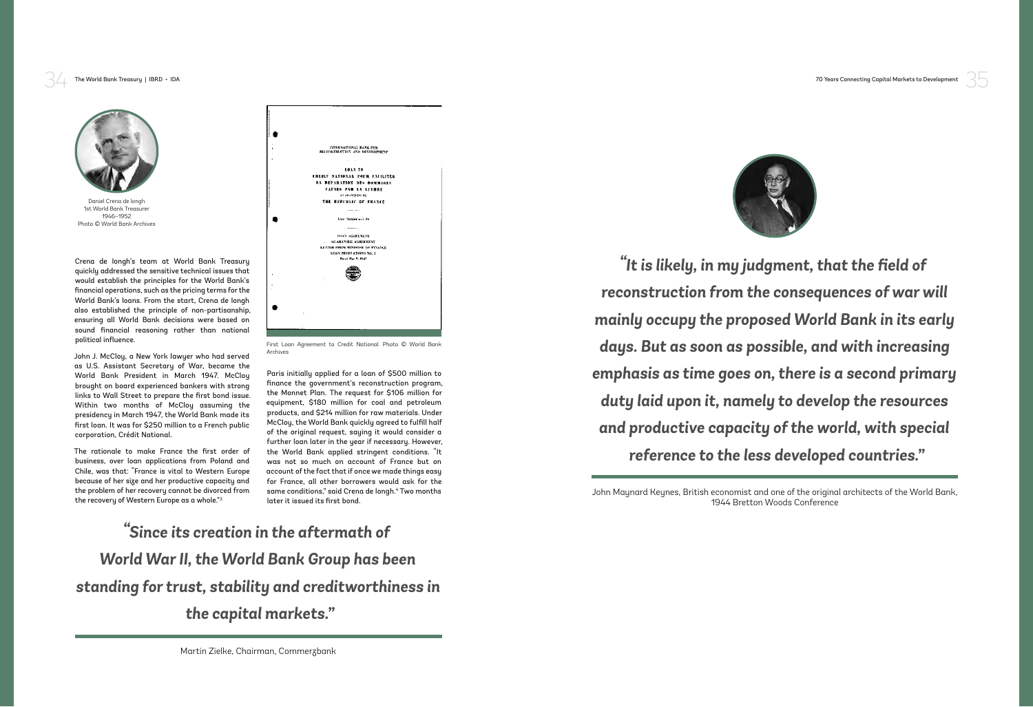35

![](_page_2_Picture_14.jpeg)

Crena de Iongh's team at World Bank Treasury quickly addressed the sensitive technical issues that would establish the principles for the World Bank's financial operations, such as the pricing terms for the World Bank's loans. From the start, Crena de Iongh also established the principle of non-partisanship, ensuring all World Bank decisions were based on sound financial reasoning rather than national political influence.

John J. McCloy, a New York lawyer who had served as U.S. Assistant Secretary of War, became the World Bank President in March 1947. McCloy brought on board experienced bankers with strong links to Wall Street to prepare the first bond issue. Within two months of McCloy assuming the presidency in March 1947, the World Bank made its first loan. It was for \$250 million to a French public corporation, Crédit National.

![](_page_2_Picture_6.jpeg)

First Loan Agreement to Credit National. Photo © World Bank Archives

The rationale to make France the first order of business, over loan applications from Poland and Chile, was that: "France is vital to Western Europe because of her size and her productive capacity and the problem of her recovery cannot be divorced from the recovery of Western Europe as a whole."3

Paris initially applied for a loan of \$500 million to finance the government's reconstruction program, the Monnet Plan. The request for \$106 million for equipment, \$180 million for coal and petroleum products, and \$214 million for raw materials. Under McCloy, the World Bank quickly agreed to fulfill half of the original request, saying it would consider a further loan later in the year if necessary. However, the World Bank applied stringent conditions. "It was not so much on account of France but on account of the fact that if once we made things easy for France, all other borrowers would ask for the same conditions," said Crena de longh.<sup>4</sup> Two months later it issued its first bond.

![](_page_2_Picture_1.jpeg)

Daniel Crena de longh 1st World Bank Treasurer 1946–1952 Photo © World Bank Archives

> John Maynard Keynes, British economist and one of the original architects of the World Bank, 1944 Bretton Woods Conference

> *"It is likely, in my judgment, that the field of reconstruction from the consequences of war will mainly occupy the proposed World Bank in its early days. But as soon as possible, and with increasing emphasis as time goes on, there is a second primary duty laid upon it, namely to develop the resources and productive capacity of the world, with special reference to the less developed countries."*

34 The World Bank Treasury | IBRD • IDA 70 Years Connecting Capital Markets to Development

## *"Since its creation in the aftermath of World War II, the World Bank Group has been standing for trust, stability and creditworthiness in the capital markets."*